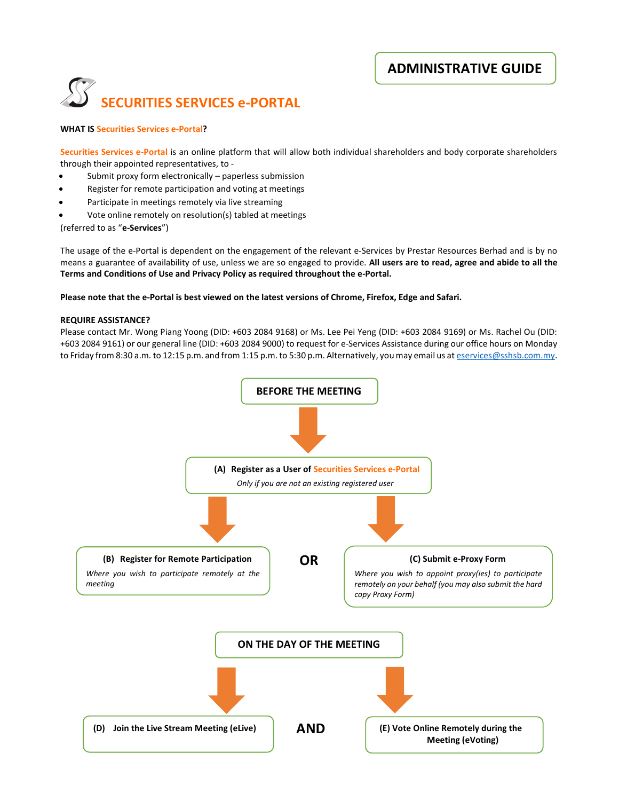ADMINISTRATIVE GUIDE



### WHAT IS Securities Services e-Portal?

Securities Services e-Portal is an online platform that will allow both individual shareholders and body corporate shareholders through their appointed representatives, to -

- Submit proxy form electronically paperless submission
- Register for remote participation and voting at meetings
- Participate in meetings remotely via live streaming
- Vote online remotely on resolution(s) tabled at meetings

(referred to as "e-Services")

The usage of the e-Portal is dependent on the engagement of the relevant e-Services by Prestar Resources Berhad and is by no means a guarantee of availability of use, unless we are so engaged to provide. All users are to read, agree and abide to all the Terms and Conditions of Use and Privacy Policy as required throughout the e-Portal.

#### Please note that the e-Portal is best viewed on the latest versions of Chrome, Firefox, Edge and Safari.

#### REQUIRE ASSISTANCE?

Please contact Mr. Wong Piang Yoong (DID: +603 2084 9168) or Ms. Lee Pei Yeng (DID: +603 2084 9169) or Ms. Rachel Ou (DID: +603 2084 9161) or our general line (DID: +603 2084 9000) to request for e-Services Assistance during our office hours on Monday to Friday from 8:30 a.m. to 12:15 p.m. and from 1:15 p.m. to 5:30 p.m. Alternatively, you may email us at eservices@sshsb.com.my.

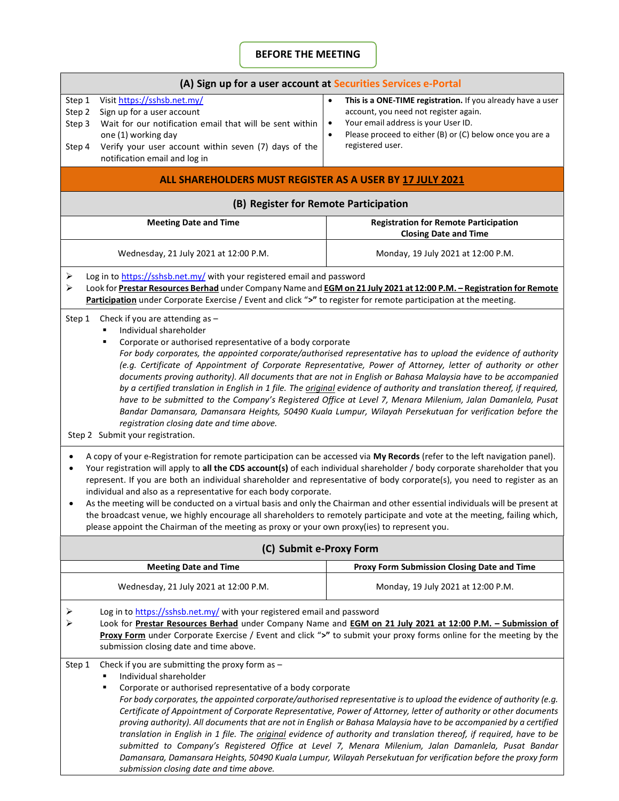# BEFORE THE MEETING

| (A) Sign up for a user account at Securities Services e-Portal                                                                                                                                                                                                                                                                                                                                                                                                                                                                                                                                                                                                                                                                                                                                                                                                                                                          |                                                                                                                                                                                                                                                                    |  |
|-------------------------------------------------------------------------------------------------------------------------------------------------------------------------------------------------------------------------------------------------------------------------------------------------------------------------------------------------------------------------------------------------------------------------------------------------------------------------------------------------------------------------------------------------------------------------------------------------------------------------------------------------------------------------------------------------------------------------------------------------------------------------------------------------------------------------------------------------------------------------------------------------------------------------|--------------------------------------------------------------------------------------------------------------------------------------------------------------------------------------------------------------------------------------------------------------------|--|
| Visit https://sshsb.net.my/<br>Step 1<br>Step 2<br>Sign up for a user account<br>Wait for our notification email that will be sent within<br>Step 3<br>one (1) working day<br>Verify your user account within seven (7) days of the<br>Step 4<br>notification email and log in                                                                                                                                                                                                                                                                                                                                                                                                                                                                                                                                                                                                                                          | This is a ONE-TIME registration. If you already have a user<br>$\bullet$<br>account, you need not register again.<br>Your email address is your User ID.<br>$\bullet$<br>Please proceed to either (B) or (C) below once you are a<br>$\bullet$<br>registered user. |  |
| ALL SHAREHOLDERS MUST REGISTER AS A USER BY 17 JULY 2021                                                                                                                                                                                                                                                                                                                                                                                                                                                                                                                                                                                                                                                                                                                                                                                                                                                                |                                                                                                                                                                                                                                                                    |  |
| (B) Register for Remote Participation                                                                                                                                                                                                                                                                                                                                                                                                                                                                                                                                                                                                                                                                                                                                                                                                                                                                                   |                                                                                                                                                                                                                                                                    |  |
| <b>Meeting Date and Time</b>                                                                                                                                                                                                                                                                                                                                                                                                                                                                                                                                                                                                                                                                                                                                                                                                                                                                                            | <b>Registration for Remote Participation</b><br><b>Closing Date and Time</b>                                                                                                                                                                                       |  |
| Wednesday, 21 July 2021 at 12:00 P.M.                                                                                                                                                                                                                                                                                                                                                                                                                                                                                                                                                                                                                                                                                                                                                                                                                                                                                   | Monday, 19 July 2021 at 12:00 P.M.                                                                                                                                                                                                                                 |  |
| Log in to https://sshsb.net.my/ with your registered email and password<br>⋗<br>Look for Prestar Resources Berhad under Company Name and EGM on 21 July 2021 at 12:00 P.M. - Registration for Remote<br>≻<br>Participation under Corporate Exercise / Event and click ">" to register for remote participation at the meeting.                                                                                                                                                                                                                                                                                                                                                                                                                                                                                                                                                                                          |                                                                                                                                                                                                                                                                    |  |
| Individual shareholder<br>Corporate or authorised representative of a body corporate<br>For body corporates, the appointed corporate/authorised representative has to upload the evidence of authority<br>(e.g. Certificate of Appointment of Corporate Representative, Power of Attorney, letter of authority or other<br>documents proving authority). All documents that are not in English or Bahasa Malaysia have to be accompanied<br>by a certified translation in English in 1 file. The <i>original</i> evidence of authority and translation thereof, if required,<br>have to be submitted to the Company's Registered Office at Level 7, Menara Milenium, Jalan Damanlela, Pusat<br>Bandar Damansara, Damansara Heights, 50490 Kuala Lumpur, Wilayah Persekutuan for verification before the<br>registration closing date and time above.<br>Step 2 Submit your registration.                                |                                                                                                                                                                                                                                                                    |  |
| A copy of your e-Registration for remote participation can be accessed via My Records (refer to the left navigation panel).<br>٠<br>Your registration will apply to all the CDS account(s) of each individual shareholder / body corporate shareholder that you<br>$\bullet$<br>represent. If you are both an individual shareholder and representative of body corporate(s), you need to register as an<br>individual and also as a representative for each body corporate.<br>As the meeting will be conducted on a virtual basis and only the Chairman and other essential individuals will be present at<br>the broadcast venue, we highly encourage all shareholders to remotely participate and vote at the meeting, failing which,<br>please appoint the Chairman of the meeting as proxy or your own proxy(ies) to represent you.                                                                               |                                                                                                                                                                                                                                                                    |  |
| (C) Submit e-Proxy Form                                                                                                                                                                                                                                                                                                                                                                                                                                                                                                                                                                                                                                                                                                                                                                                                                                                                                                 |                                                                                                                                                                                                                                                                    |  |
| <b>Meeting Date and Time</b>                                                                                                                                                                                                                                                                                                                                                                                                                                                                                                                                                                                                                                                                                                                                                                                                                                                                                            | Proxy Form Submission Closing Date and Time                                                                                                                                                                                                                        |  |
| Wednesday, 21 July 2021 at 12:00 P.M.                                                                                                                                                                                                                                                                                                                                                                                                                                                                                                                                                                                                                                                                                                                                                                                                                                                                                   | Monday, 19 July 2021 at 12:00 P.M.                                                                                                                                                                                                                                 |  |
| Log in to https://sshsb.net.my/ with your registered email and password<br>➤<br>≻<br>Look for Prestar Resources Berhad under Company Name and EGM on 21 July 2021 at 12:00 P.M. - Submission of<br>Proxy Form under Corporate Exercise / Event and click ">" to submit your proxy forms online for the meeting by the<br>submission closing date and time above.                                                                                                                                                                                                                                                                                                                                                                                                                                                                                                                                                        |                                                                                                                                                                                                                                                                    |  |
| Check if you are submitting the proxy form as $-$<br>Step 1<br>Individual shareholder<br>Corporate or authorised representative of a body corporate<br>For body corporates, the appointed corporate/authorised representative is to upload the evidence of authority (e.g.<br>Certificate of Appointment of Corporate Representative, Power of Attorney, letter of authority or other documents<br>proving authority). All documents that are not in English or Bahasa Malaysia have to be accompanied by a certified<br>translation in English in 1 file. The <i>original</i> evidence of authority and translation thereof, if required, have to be<br>submitted to Company's Registered Office at Level 7, Menara Milenium, Jalan Damanlela, Pusat Bandar<br>Damansara, Damansara Heights, 50490 Kuala Lumpur, Wilayah Persekutuan for verification before the proxy form<br>submission closing date and time above. |                                                                                                                                                                                                                                                                    |  |